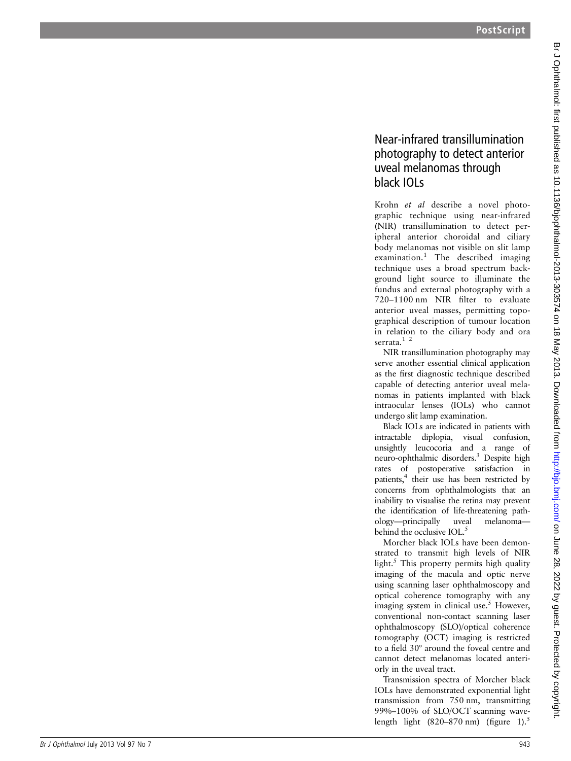## Near-infrared transillumination photography to detect anterior uveal melanomas through black IOLs

Krohn et al describe a novel photographic technique using near-infrared (NIR) transillumination to detect peripheral anterior choroidal and ciliary body melanomas not visible on slit lamp examination. <sup>1</sup> The described imaging technique uses a broad spectrum background light source to illuminate the fundus and external photography with a 720 –1100 nm NIR filter to evaluate anterior uveal masses, permitting topographical description of tumour location in relation to the ciliary body and ora serrata.<sup>1</sup><sup>2</sup>

NIR transillumination photography may serve another essential clinical application as the first diagnostic technique described capable of detecting anterior uveal melanomas in patients implanted with black intraocular lenses (IOLs) who cannot undergo slit lamp examination.

Black IOLs are indicated in patients with intractable diplopia, visual confusion, unsightly leucocoria and a range of neuro-ophthalmic disorders. <sup>3</sup> Despite high rates of postoperative satisfaction in patients, <sup>4</sup> their use has been restricted by concerns from ophthalmologists that an inability to visualise the retina may prevent the identi fication of life-threatening pathology—principally uveal melanoma behind the occlusive IOL.<sup>5</sup>

Morcher black IOLs have been demonstrated to transmit high levels of NIR light. <sup>5</sup> This property permits high quality imaging of the macula and optic nerve using scanning laser ophthalmoscopy and optical coherence tomography with any imaging system in clinical use. <sup>5</sup> However, conventional non-contact scanning laser ophthalmoscopy (SLO)/optical coherence tomography (OCT) imaging is restricted to a field 30° around the foveal centre and cannot detect melanomas located anteriorly in the uveal tract.

Transmission spectra of Morcher black IOLs have demonstrated exponential light transmission from 750 nm, transmitting 99% –100% of SLO/OCT scanning wavelength light  $(820-870 \text{ nm})$  (figure 1).<sup>5</sup>

Br J Ophthalmol: first published as 10.1136/bjophthalmol-2013-303574 on 18 May 2013. Downloaded from http://bjo.bmj.com/ on June 28, 2022 by guest. Protected by copyright Br Johnalmol: first published as 10.1136/bjophthalmol-2013-303574 on 18 May 2013. Downloaded from loom/ Br June 28, 2022 by guest. Protected by copyright.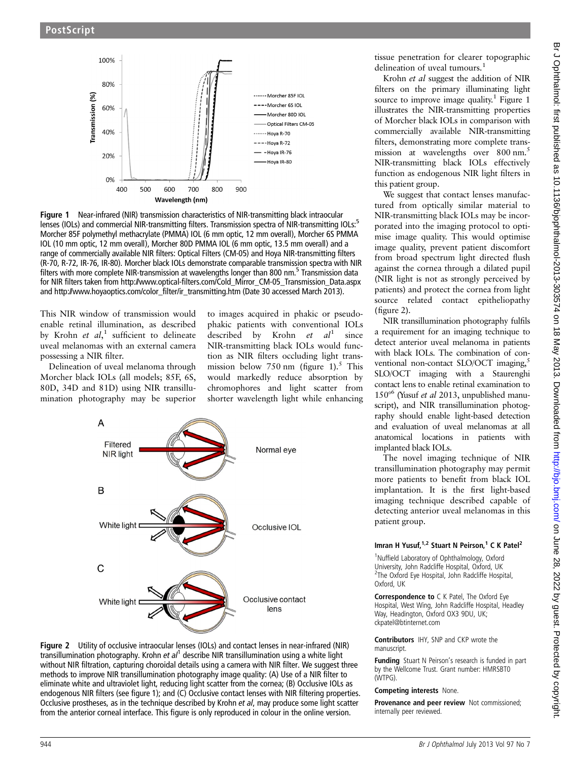

Figure 1 Near-infrared (NIR) transmission characteristics of NIR-transmitting black intraocular lenses (IOLs) and commercial NIR-transmitting filters. Transmission spectra of NIR-transmitting IOLs:<sup>5</sup> Morcher 85F polymethyl methacrylate (PMMA) IOL (6 mm optic, 12 mm overall), Morcher 6S PMMA IOL (10 mm optic, 12 mm overall), Morcher 80D PMMA IOL (6 mm optic, 13.5 mm overall) and a range of commercially available NIR filters: Optical Filters (CM-05) and Hoya NIR-transmitting filters (R-70, R-72, IR-76, IR-80). Morcher black IOLs demonstrate comparable transmission spectra with NIR filters with more complete NIR-transmission at wavelengths longer than 800 nm.<sup>5</sup> Transmission data for NIR filters taken from [http://www.optical-](http://www.optical-filters.com/Cold_Mirror_CM-05_Transmission_Data.aspx)fi[lters.com/Cold\\_Mirror\\_CM-05\\_Transmission\\_Data.aspx](http://www.optical-filters.com/Cold_Mirror_CM-05_Transmission_Data.aspx) and [http://www.hoyaoptics.com/color\\_](http://www.hoyaoptics.com/color_filter/ir_transmitting.htm)filter/ir\_transmitting.htm (Date 30 accessed March 2013).

This NIR window of transmission would enable retinal illumination, as described by Krohn et al,<sup>1</sup> sufficient to delineate uveal melanomas with an external camera possessing a NIR filter.

Delineation of uveal melanoma through Morcher black IOLs (all models; 85F, 6S, 80D, 34D and 81D) using NIR transillumination photography may be superior to images acquired in phakic or pseudophakic patients with conventional IOLs described by Krohn  $et \text{ } al^1 \text{ } since$ NIR-transmitting black IOLs would function as NIR filters occluding light transmission below 750 nm (figure 1).<sup>5</sup> This would markedly reduce absorption by chromophores and light scatter from shorter wavelength light while enhancing





tissue penetration for clearer topographic delineation of uveal tumours.<sup>1</sup>

Krohn et al suggest the addition of NIR filters on the primary illuminating light source to improve image quality.<sup>1</sup> Figure 1 illustrates the NIR-transmitting properties of Morcher black IOLs in comparison with commercially available NIR-transmitting filters, demonstrating more complete transmission at wavelengths over 800 nm.<sup>5</sup> NIR-transmitting black IOLs effectively function as endogenous NIR light filters in this patient group.

We suggest that contact lenses manufactured from optically similar material to NIR-transmitting black IOLs may be incorporated into the imaging protocol to optimise image quality. This would optimise image quality, prevent patient discomfort from broad spectrum light directed flush against the cornea through a dilated pupil (NIR light is not as strongly perceived by patients) and protect the cornea from light source related contact epitheliopathy (figure 2).

NIR transillumination photography fulfils a requirement for an imaging technique to detect anterior uveal melanoma in patients with black IOLs. The combination of conventional non-contact SLO/OCT imaging,<sup>5</sup> SLO/OCT imaging with a Staurenghi contact lens to enable retinal examination to  $150^{\circ}$  (Yusuf *et al* 2013, unpublished manuscript), and NIR transillumination photography should enable light-based detection and evaluation of uveal melanomas at all anatomical locations in patients with implanted black IOLs.

The novel imaging technique of NIR transillumination photography may permit more patients to benefit from black IOL implantation. It is the first light-based imaging technique described capable of detecting anterior uveal melanomas in this patient group.

#### Imran H Yusuf,  $1,2$  Stuart N Peirson,  $1$  C K Patel<sup>2</sup>

<sup>1</sup>Nuffield Laboratory of Ophthalmology, Oxford University, John Radcliffe Hospital, Oxford, UK 2 The Oxford Eye Hospital, John Radcliffe Hospital, Oxford, UK

Correspondence to C K Patel. The Oxford Eve Hospital, West Wing, John Radcliffe Hospital, Headley Way, Headington, Oxford OX3 9DU, UK; ckpatel@btinternet.com

Contributors IHY, SNP and CKP wrote the manuscript.

Funding Stuart N Peirson's research is funded in part by the Wellcome Trust. Grant number: HMRSBT0 (WTPG).

#### Competing interests None.

Provenance and peer review Not commissioned; internally peer reviewed.